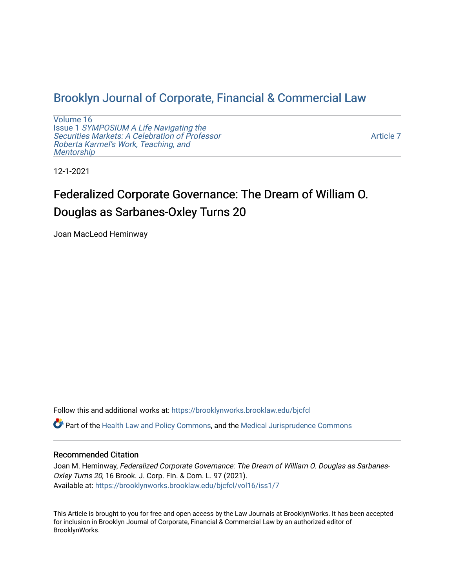## [Brooklyn Journal of Corporate, Financial & Commercial Law](https://brooklynworks.brooklaw.edu/bjcfcl)

[Volume 16](https://brooklynworks.brooklaw.edu/bjcfcl/vol16) Issue 1 [SYMPOSIUM A Life Navigating the](https://brooklynworks.brooklaw.edu/bjcfcl/vol16/iss1) [Securities Markets: A Celebration of Professor](https://brooklynworks.brooklaw.edu/bjcfcl/vol16/iss1) [Roberta Karmel's Work, Teaching, and](https://brooklynworks.brooklaw.edu/bjcfcl/vol16/iss1)  **Mentorship** 

[Article 7](https://brooklynworks.brooklaw.edu/bjcfcl/vol16/iss1/7) 

12-1-2021

# Federalized Corporate Governance: The Dream of William O. Douglas as Sarbanes-Oxley Turns 20

Joan MacLeod Heminway

Follow this and additional works at: [https://brooklynworks.brooklaw.edu/bjcfcl](https://brooklynworks.brooklaw.edu/bjcfcl?utm_source=brooklynworks.brooklaw.edu%2Fbjcfcl%2Fvol16%2Fiss1%2F7&utm_medium=PDF&utm_campaign=PDFCoverPages)

Part of the [Health Law and Policy Commons](http://network.bepress.com/hgg/discipline/901?utm_source=brooklynworks.brooklaw.edu%2Fbjcfcl%2Fvol16%2Fiss1%2F7&utm_medium=PDF&utm_campaign=PDFCoverPages), and the [Medical Jurisprudence Commons](http://network.bepress.com/hgg/discipline/860?utm_source=brooklynworks.brooklaw.edu%2Fbjcfcl%2Fvol16%2Fiss1%2F7&utm_medium=PDF&utm_campaign=PDFCoverPages) 

## Recommended Citation

Joan M. Heminway, Federalized Corporate Governance: The Dream of William O. Douglas as Sarbanes-Oxley Turns 20, 16 Brook. J. Corp. Fin. & Com. L. 97 (2021). Available at: [https://brooklynworks.brooklaw.edu/bjcfcl/vol16/iss1/7](https://brooklynworks.brooklaw.edu/bjcfcl/vol16/iss1/7?utm_source=brooklynworks.brooklaw.edu%2Fbjcfcl%2Fvol16%2Fiss1%2F7&utm_medium=PDF&utm_campaign=PDFCoverPages)

This Article is brought to you for free and open access by the Law Journals at BrooklynWorks. It has been accepted for inclusion in Brooklyn Journal of Corporate, Financial & Commercial Law by an authorized editor of BrooklynWorks.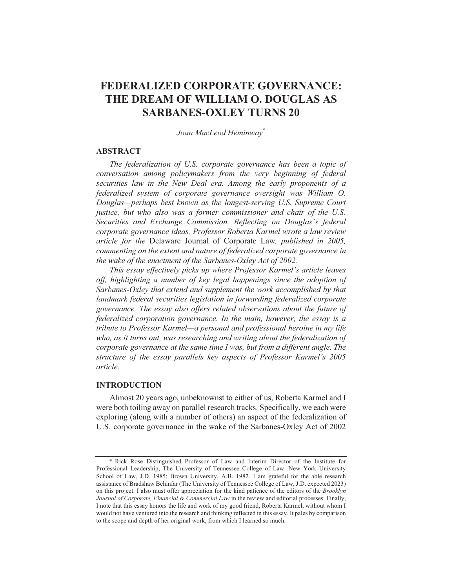## FEDERALIZED CORPORATE GOVERNANCE: THE DREAM OF WILLIAM O. DOUGLAS AS **SARBANES-OXLEY TURNS 20**

Joan MacLeod Heminway\*

#### **ABSTRACT**

The federalization of U.S. corporate governance has been a topic of conversation among policymakers from the very beginning of federal securities law in the New Deal era. Among the early proponents of a federalized system of corporate governance oversight was William O. Douglas—perhaps best known as the longest-serving U.S. Supreme Court justice, but who also was a former commissioner and chair of the U.S. Securities and Exchange Commission. Reflecting on Douglas's federal corporate governance ideas, Professor Roberta Karmel wrote a law review article for the Delaware Journal of Corporate Law, published in 2005, commenting on the extent and nature of federalized corporate governance in the wake of the enactment of the Sarbanes-Oxley Act of 2002.

This essay effectively picks up where Professor Karmel's article leaves off, highlighting a number of key legal happenings since the adoption of Sarbanes-Oxley that extend and supplement the work accomplished by that landmark federal securities legislation in forwarding federalized corporate governance. The essay also offers related observations about the future of federalized corporation governance. In the main, however, the essay is a tribute to Professor Karmel—a personal and professional heroine in my life who, as it turns out, was researching and writing about the federalization of corporate governance at the same time I was, but from a different angle. The structure of the essay parallels key aspects of Professor Karmel's 2005 article.

#### **INTRODUCTION**

Almost 20 years ago, unbeknownst to either of us, Roberta Karmel and I were both toiling away on parallel research tracks. Specifically, we each were exploring (along with a number of others) an aspect of the federalization of U.S. corporate governance in the wake of the Sarbanes-Oxley Act of 2002

<sup>\*</sup> Rick Rose Distinguished Professor of Law and Interim Director of the Institute for Professional Leadership, The University of Tennessee College of Law. New York University School of Law, J.D. 1985; Brown University, A.B. 1982. I am grateful for the able research assistance of Bradshaw Behinfar (The University of Tennessee College of Law, J.D. expected 2023) on this project. I also must offer appreciation for the kind patience of the editors of the *Brooklyn* Journal of Corporate, Financial & Commercial Law in the review and editorial processes. Finally, I note that this essay honors the life and work of my good friend, Roberta Karmel, without whom I would not have ventured into the research and thinking reflected in this essay. It pales by comparison to the scope and depth of her original work, from which I learned so much.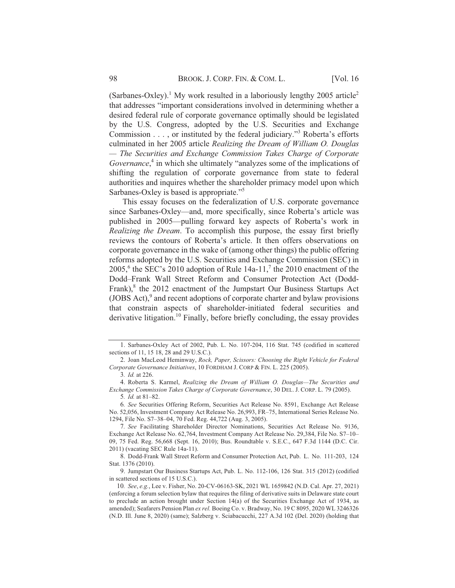(Sarbanes-Oxley).<sup>1</sup> My work resulted in a laboriously lengthy 2005 article<sup>2</sup> that addresses "important considerations involved in determining whether a desired federal rule of corporate governance optimally should be legislated by the U.S. Congress, adopted by the U.S. Securities and Exchange Commission  $\dots$ , or instituted by the federal judiciary."<sup>3</sup> Roberta's efforts culminated in her 2005 article Realizing the Dream of William O. Douglas — The Securities and Exchange Commission Takes Charge of Corporate *Governance*.<sup>4</sup> in which she ultimately "analyzes some of the implications of shifting the regulation of corporate governance from state to federal authorities and inquires whether the shareholder primacy model upon which Sarbanes-Oxley is based is appropriate."<sup>5</sup>

This essay focuses on the federalization of U.S. corporate governance since Sarbanes-Oxley—and, more specifically, since Roberta's article was published in 2005—pulling forward key aspects of Roberta's work in *Realizing the Dream.* To accomplish this purpose, the essay first briefly reviews the contours of Roberta's article. It then offers observations on corporate governance in the wake of (among other things) the public offering reforms adopted by the U.S. Securities and Exchange Commission (SEC) in 2005,<sup>6</sup> the SEC's 2010 adoption of Rule 14a-11,<sup>7</sup> the 2010 enactment of the Dodd-Frank Wall Street Reform and Consumer Protection Act (Dodd-Frank), $<sup>8</sup>$  the 2012 enactment of the Jumpstart Our Business Startups Act</sup> (JOBS Act),<sup>9</sup> and recent adoptions of corporate charter and bylaw provisions that constrain aspects of shareholder-initiated federal securities and derivative litigation.<sup>10</sup> Finally, before briefly concluding, the essay provides

No. 52,056, Investment Company Act Release No. 26,993, FR-75, International Series Release No. 1294, File No. S7-38-04, 70 Fed. Reg. 44.722 (Aug. 3, 2005).

7. See Facilitating Shareholder Director Nominations. Securities Act Release No. 9136. Exchange Act Release No. 62,764, Investment Company Act Release No. 29,384, File No. S7-10-09, 75 Fed. Reg. 56,668 (Sept. 16, 2010): Bus. Roundtable v. S.E.C., 647 F.3d 1144 (D.C. Cir. 2011) (vacating SEC Rule 14a-11).

8. Dodd-Frank Wall Street Reform and Consumer Protection Act. Pub. L. No. 111-203. 124 Stat. 1376 (2010).

9. Jumpstart Our Business Startups Act. Pub. L. No. 112-106, 126 Stat. 315 (2012) (codified in scattered sections of 15 U.S.C.).

<sup>1.</sup> Sarbanes-Oxley Act of 2002, Pub. L. No. 107-204, 116 Stat. 745 (codified in scattered sections of 11, 15 18, 28 and 29 U.S.C.).

<sup>2.</sup> Joan MacLeod Heminway, *Rock, Paper, Scissors: Choosing the Right Vehicle for Federal* Corporate Governance Initiatives, 10 FORDHAM J. CORP & FIN. L. 225 (2005).

<sup>3.</sup> *Id.* at 226.

<sup>4.</sup> Roberta S. Karmel, *Realizing the Dream of William O. Douglas—The Securities and* Exchange Commission Takes Charge of Corporate Governance, 30 DEL, J. CORP, L. 79 (2005). 5. *Id.* at 81–82.

<sup>6.</sup> See Securities Offering Reform, Securities Act Release No. 8591, Exchange Act Release

<sup>10.</sup> See, e.g., Lee v. Fisher, No. 20-CV-06163-SK, 2021 WL 1659842 (N.D. Cal. Apr. 27, 2021) (enforcing a forum selection by law that requires the filing of derivative suits in Delaware state court to preclude an action brought under Section 14(a) of the Securities Exchange Act of 1934, as amended); Seafarers Pension Plan ex rel. Boeing Co. v. Bradway, No. 19 C 8095, 2020 WL 3246326  $(N.D. III. June 8, 2020)$  (same); Salzberg v. Sciabacucchi, 227 A.3d 102 (Del. 2020) (holding that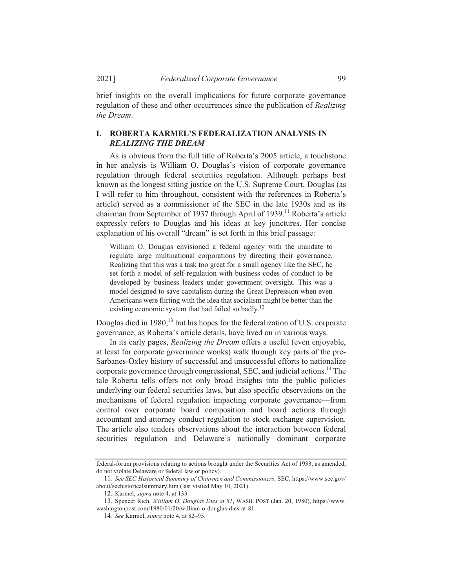brief insights on the overall implications for future corporate governance regulation of these and other occurrences since the publication of *Realizing the Dream.* 

## **I. ROBERTA KARMEL'S FEDERALIZATION ANALYSIS IN REALIZING THE DREAM**

As is obvious from the full title of Roberta's 2005 article, a touchstone in her analysis is William O. Douglas's vision of corporate governance regulation through federal securities regulation. Although perhaps best known as the longest sitting justice on the U.S. Supreme Court, Douglas (as I will refer to him throughout, consistent with the references in Roberta's article) served as a commissioner of the SEC in the late  $1930s$  and as its chairman from September of 1937 through April of  $1939$ <sup>11</sup> Roberta's article expressly refers to Douglas and his ideas at key junctures. Her concise explanation of his overall "dream" is set forth in this brief passage:

William O. Douglas envisioned a federal agency with the mandate to regulate large multinational corporations by directing their governance. Realizing that this was a task too great for a small agency like the SEC, he set forth a model of self-regulation with business codes of conduct to be developed by business leaders under government oversight. This was a model designed to save capitalism during the Great Depression when even Americans were flirting with the idea that socialism might be better than the existing economic system that had failed so badly. $^{12}$ 

Douglas died in 1980<sup>13</sup> but his hopes for the federalization of U.S. corporate governance, as Roberta's article details, have lived on in various ways.

In its early pages, *Realizing the Dream* offers a useful (even enjoyable, at least for corporate governance wonks) walk through key parts of the pre-Sarbanes-Oxley history of successful and unsuccessful efforts to nationalize corporate governance through congressional, SEC, and judicial actions.<sup>14</sup> The tale Roberta tells offers not only broad insights into the public policies underlying our federal securities laws, but also specific observations on the mechanisms of federal regulation impacting corporate governance—from control over corporate board composition and board actions through accountant and attorney conduct regulation to stock exchange supervision. The article also tenders observations about the interaction between federal securities regulation and Delaware's nationally dominant corporate

federal-forum provisions relating to actions brought under the Securities Act of 1933, as amended. do not violate Delaware or federal law or policy).

<sup>11.</sup> See SEC Historical Summary of Chairmen and Commissioners, SEC, https://www.sec.gov/ about/sechistoricalsummary.htm (last visited May 10, 2021).

<sup>12.</sup> Karmel, *supra* note 4, at 133.

<sup>13.</sup> Spencer Rich, *William O. Douglas Dies at 81*, WASH. POST (Jan. 20, 1980), https://www. washingtonpost.com/1980/01/20/william-o-douglas-dies-at-81.

<sup>14.</sup> See Karmel, *supra* note 4, at 82-95.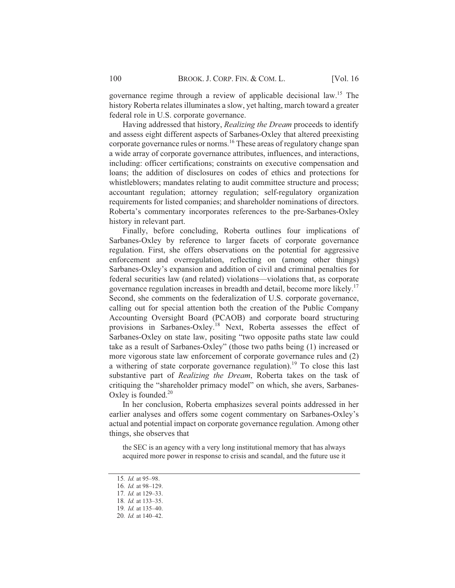governance regime through a review of applicable decisional law.<sup>15</sup> The history Roberta relates illuminates a slow, yet halting, march toward a greater federal role in U.S. corporate governance.

Having addressed that history, *Realizing the Dream* proceeds to identify and assess eight different aspects of Sarbanes-Oxley that altered preexisting corporate governance rules or norms.<sup>16</sup> These areas of regulatory change span a wide array of corporate governance attributes, influences, and interactions, including: officer certifications; constraints on executive compensation and loans; the addition of disclosures on codes of ethics and protections for whistleblowers; mandates relating to audit committee structure and process; accountant regulation; attorney regulation; self-regulatory organization requirements for listed companies; and shareholder nominations of directors. Roberta's commentary incorporates references to the pre-Sarbanes-Oxley history in relevant part.

Finally, before concluding, Roberta outlines four implications of Sarbanes-Oxley by reference to larger facets of corporate governance regulation. First, she offers observations on the potential for aggressive enforcement and overregulation, reflecting on (among other things) Sarbanes-Oxley's expansion and addition of civil and criminal penalties for federal securities law (and related) violations—violations that, as corporate governance regulation increases in breadth and detail, become more likely.<sup>17</sup> Second, she comments on the federalization of U.S. corporate governance, calling out for special attention both the creation of the Public Company Accounting Oversight Board (PCAOB) and corporate board structuring provisions in Sarbanes-Oxley.<sup>18</sup> Next, Roberta assesses the effect of Sarbanes-Oxley on state law, positing "two opposite paths state law could take as a result of Sarbanes-Oxley" (those two paths being  $(1)$  increased or more vigorous state law enforcement of corporate governance rules and (2) a withering of state corporate governance regulation).<sup>19</sup> To close this last substantive part of *Realizing the Dream*, Roberta takes on the task of critiquing the "shareholder primacy model" on which, she avers, Sarbanes-Oxley is founded.<sup>20</sup>

In her conclusion, Roberta emphasizes several points addressed in her earlier analyses and offers some cogent commentary on Sarbanes-Oxley's actual and potential impact on corporate governance regulation. Among other things, she observes that

the SEC is an agency with a very long institutional memory that has always acquired more power in response to crisis and scandal, and the future use it

<sup>15.</sup> *Id.* at 95-98.

<sup>16.</sup> *Id.* at 98-129.

<sup>17.</sup> *Id.* at 129-33.

<sup>18.</sup> *Id.* at 133-35.

<sup>19.</sup> *Id.* at 135-40.

<sup>20.</sup> *Id.* at 140–42.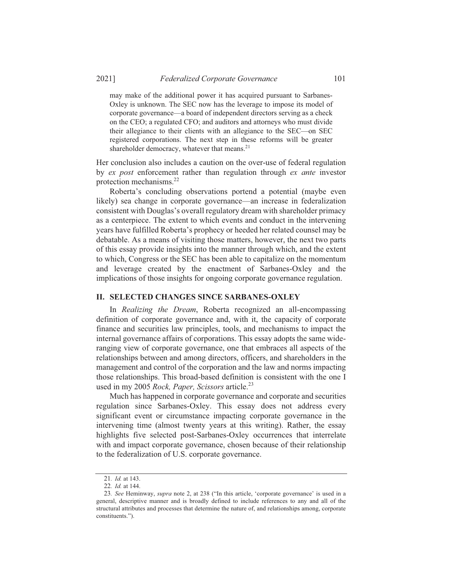may make of the additional power it has acquired pursuant to Sarbanes-Oxley is unknown. The SEC now has the leverage to impose its model of corporate governance—a board of independent directors serving as a check on the CEO; a regulated CFO; and auditors and attorneys who must divide their allegiance to their clients with an allegiance to the SEC—on SEC registered corporations. The next step in these reforms will be greater shareholder democracy, whatever that means.<sup>21</sup>

Her conclusion also includes a caution on the over-use of federal regulation by ex post enforcement rather than regulation through ex ante investor protection mechanisms.<sup>22</sup>

Roberta's concluding observations portend a potential (maybe even likely) sea change in corporate governance—an increase in federalization consistent with Douglas's overall regulatory dream with shareholder primacy as a centerpiece. The extent to which events and conduct in the intervening years have fulfilled Roberta's prophecy or heeded her related counsel may be debatable. As a means of visiting those matters, however, the next two parts of this essay provide insights into the manner through which, and the extent to which, Congress or the SEC has been able to capitalize on the momentum and leverage created by the enactment of Sarbanes-Oxley and the implications of those insights for ongoing corporate governance regulation.

#### **II. SELECTED CHANGES SINCE SARBANES-OXLEY**

In Realizing the Dream, Roberta recognized an all-encompassing definition of corporate governance and, with it, the capacity of corporate finance and securities law principles, tools, and mechanisms to impact the internal governance affairs of corporations. This essay adopts the same wideranging view of corporate governance, one that embraces all aspects of the relationships between and among directors, officers, and shareholders in the management and control of the corporation and the law and norms impacting those relationships. This broad-based definition is consistent with the one I used in my 2005 Rock, Paper, Scissors article.<sup>23</sup>

Much has happened in corporate governance and corporate and securities regulation since Sarbanes-Oxley. This essay does not address every significant event or circumstance impacting corporate governance in the intervening time (almost twenty years at this writing). Rather, the essay highlights five selected post-Sarbanes-Oxley occurrences that interrelate with and impact corporate governance, chosen because of their relationship to the federalization of U.S. corporate governance.

<sup>21.</sup> Id. at 143.

<sup>22.</sup> Id. at 144.

<sup>23.</sup> See Heminway, supra note 2, at 238 ("In this article, 'corporate governance' is used in a general, descriptive manner and is broadly defined to include references to any and all of the structural attributes and processes that determine the nature of, and relationships among, corporate constituents.").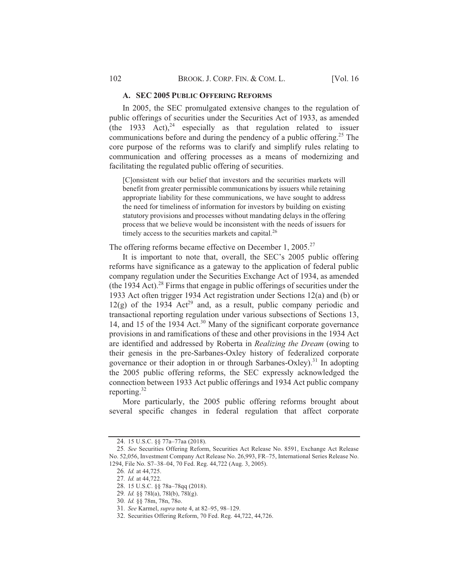#### A. SEC 2005 PUBLIC OFFERING REFORMS

In 2005, the SEC promulgated extensive changes to the regulation of public offerings of securities under the Securities Act of 1933, as amended (the 1933 Act), $^{24}$  especially as that regulation related to issuer communications before and during the pendency of a public offering.<sup>25</sup> The core purpose of the reforms was to clarify and simplify rules relating to communication and offering processes as a means of modernizing and facilitating the regulated public offering of securities.

[C]onsistent with our belief that investors and the securities markets will benefit from greater permissible communications by issuers while retaining appropriate liability for these communications, we have sought to address the need for timeliness of information for investors by building on existing statutory provisions and processes without mandating delays in the offering process that we believe would be inconsistent with the needs of issuers for timely access to the securities markets and capital.<sup>26</sup>

The offering reforms became effective on December 1, 2005.<sup>27</sup>

It is important to note that, overall, the SEC's 2005 public offering reforms have significance as a gateway to the application of federal public company regulation under the Securities Exchange Act of 1934, as amended (the 1934 Act).<sup>28</sup> Firms that engage in public offerings of securities under the 1933 Act often trigger 1934 Act registration under Sections 12(a) and (b) or  $12(g)$  of the 1934 Act<sup>29</sup> and, as a result, public company periodic and transactional reporting regulation under various subsections of Sections 13, 14, and 15 of the 1934 Act.<sup>30</sup> Many of the significant corporate governance provisions in and ramifications of these and other provisions in the 1934 Act are identified and addressed by Roberta in Realizing the Dream (owing to their genesis in the pre-Sarbanes-Oxley history of federalized corporate governance or their adoption in or through Sarbanes-Oxley).<sup>31</sup> In adopting the 2005 public offering reforms, the SEC expressly acknowledged the connection between 1933 Act public offerings and 1934 Act public company reporting. $32$ 

More particularly, the 2005 public offering reforms brought about several specific changes in federal regulation that affect corporate

<sup>24. 15</sup> U.S.C. §§ 77a-77aa (2018).

<sup>25.</sup> See Securities Offering Reform, Securities Act Release No. 8591, Exchange Act Release No. 52,056, Investment Company Act Release No. 26,993, FR-75, International Series Release No. 1294, File No. S7-38-04, 70 Fed. Reg. 44,722 (Aug. 3, 2005).

<sup>26.</sup> Id. at 44,725.

<sup>27.</sup> Id. at 44,722.

<sup>28. 15</sup> U.S.C. §§ 78a-78qq (2018).

<sup>29.</sup> Id. §§ 781(a), 781(b), 781(g).

<sup>30.</sup> Id. §§ 78m, 78n, 78o.

<sup>31.</sup> See Karmel, *supra* note 4, at 82-95, 98-129.

<sup>32.</sup> Securities Offering Reform, 70 Fed. Reg. 44,722, 44,726.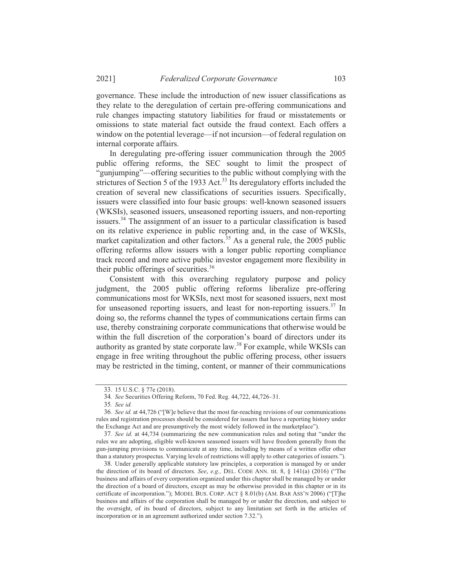governance. These include the introduction of new issuer classifications as they relate to the deregulation of certain pre-offering communications and rule changes impacting statutory liabilities for fraud or misstatements or omissions to state material fact outside the fraud context. Each offers a window on the potential leverage—if not incursion—of federal regulation on internal corporate affairs.

In deregulating pre-offering issuer communication through the 2005 public offering reforms, the SEC sought to limit the prospect of "gunjumping"—offering securities to the public without complying with the strictures of Section 5 of the 1933 Act.<sup>33</sup> Its deregulatory efforts included the creation of several new classifications of securities issuers. Specifically, issuers were classified into four basic groups: well-known seasoned issuers (WKSIs), seasoned issuers, unseasoned reporting issuers, and non-reporting issuers.<sup>34</sup> The assignment of an issuer to a particular classification is based on its relative experience in public reporting and, in the case of WKSIs, market capitalization and other factors.<sup>35</sup> As a general rule, the 2005 public offering reforms allow issuers with a longer public reporting compliance track record and more active public investor engagement more flexibility in their public offerings of securities.<sup>36</sup>

Consistent with this overarching regulatory purpose and policy judgment, the 2005 public offering reforms liberalize pre-offering communications most for WKSIs, next most for seasoned issuers, next most for unseasoned reporting issuers, and least for non-reporting issuers.<sup>37</sup> In doing so, the reforms channel the types of communications certain firms can use, thereby constraining corporate communications that otherwise would be within the full discretion of the corporation's board of directors under its authority as granted by state corporate law.<sup>38</sup> For example, while WKSIs can engage in free writing throughout the public offering process, other issuers may be restricted in the timing, content, or manner of their communications

<sup>33. 15</sup> U.S.C. § 77e (2018).

<sup>34.</sup> See Securities Offering Reform, 70 Fed. Reg. 44,722, 44,726-31.

<sup>35.</sup> See id.

<sup>36.</sup> See id. at 44,726 ("We believe that the most far-reaching revisions of our communications rules and registration processes should be considered for issuers that have a reporting history under the Exchange Act and are presumptively the most widely followed in the marketplace").

<sup>37.</sup> See id. at 44.734 (summarizing the new communication rules and noting that "under the rules we are adopting, eligible well-known seasoned issuers will have freedom generally from the gun-jumping provisions to communicate at any time, including by means of a written offer other than a statutory prospectus. Varying levels of restrictions will apply to other categories of issuers.").

<sup>38.</sup> Under generally applicable statutory law principles, a corporation is managed by or under the direction of its board of directors. *See, e.g.*, DEL, CODE ANN, tit, 8,  $\frac{141}{a}$  (2016) ("The business and affairs of every corporation organized under this chapter shall be managed by or under the direction of a board of directors, except as may be otherwise provided in this chapter or in its certificate of incorporation."): MODEL BUS, CORP, ACT  $\&$   $\&$   $\&$   $\&$   $\&$   $\&$   $\&$  ARR ASS'N 2006) ("The business and affairs of the corporation shall be managed by or under the direction, and subject to the oversight, of its board of directors, subject to any limitation set forth in the articles of incorporation or in an agreement authorized under section 7.32.").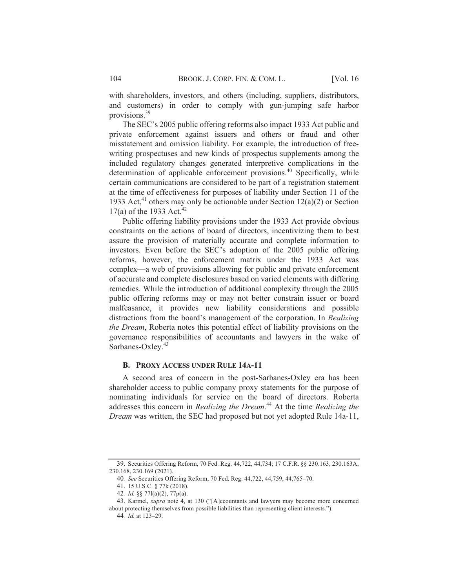with shareholders, investors, and others (including, suppliers, distributors, and customers) in order to comply with gun-jumping safe harbor provisions.<sup>39</sup>

The SEC's 2005 public offering reforms also impact 1933 Act public and private enforcement against issuers and others or fraud and other misstatement and omission liability. For example, the introduction of freewriting prospectuses and new kinds of prospectus supplements among the included regulatory changes generated interpretive complications in the determination of applicable enforcement provisions.<sup>40</sup> Specifically, while certain communications are considered to be part of a registration statement at the time of effectiveness for purposes of liability under Section 11 of the 1933 Act,<sup>41</sup> others may only be actionable under Section 12(a)(2) or Section 17(a) of the 1933 Act.<sup>42</sup>

Public offering liability provisions under the 1933 Act provide obvious constraints on the actions of board of directors, incentivizing them to best assure the provision of materially accurate and complete information to investors. Even before the SEC's adoption of the 2005 public offering reforms, however, the enforcement matrix under the 1933 Act was complex—a web of provisions allowing for public and private enforcement of accurate and complete disclosures based on varied elements with differing remedies. While the introduction of additional complexity through the 2005 public offering reforms may or may not better constrain issuer or board malfeasance, it provides new liability considerations and possible distractions from the board's management of the corporation. In Realizing the Dream, Roberta notes this potential effect of liability provisions on the governance responsibilities of accountants and lawyers in the wake of Sarbanes-Oxley.<sup>43</sup>

#### **B. PROXY ACCESS UNDER RULE 14A-11**

A second area of concern in the post-Sarbanes-Oxley era has been shareholder access to public company proxy statements for the purpose of nominating individuals for service on the board of directors. Roberta addresses this concern in Realizing the Dream.<sup>44</sup> At the time Realizing the Dream was written, the SEC had proposed but not yet adopted Rule 14a-11,

<sup>39.</sup> Securities Offering Reform, 70 Fed. Reg. 44,722, 44,734; 17 C.F.R. §§ 230.163, 230.163A, 230.168, 230.169 (2021).

<sup>40.</sup> See Securities Offering Reform, 70 Fed. Reg. 44,722, 44,759, 44,765-70.

<sup>41. 15</sup> U.S.C. § 77k (2018).

<sup>42.</sup> Id. §§ 771(a)(2), 77p(a).

<sup>43.</sup> Karmel, *supra* note 4, at 130 ("[A]ccountants and lawyers may become more concerned about protecting themselves from possible liabilities than representing client interests.").

<sup>44.</sup> Id. at 123-29.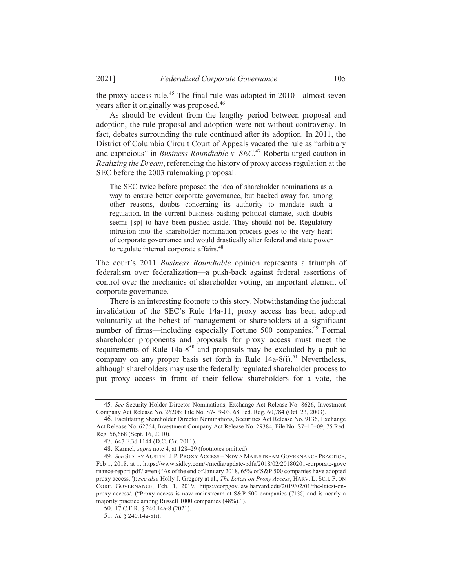the proxy access rule.<sup>45</sup> The final rule was adopted in 2010—almost seven years after it originally was proposed.<sup>46</sup>

As should be evident from the lengthy period between proposal and adoption, the rule proposal and adoption were not without controversy. In fact, debates surrounding the rule continued after its adoption. In 2011, the District of Columbia Circuit Court of Appeals vacated the rule as "arbitrary" and capricious" in Business Roundtable v. SEC.<sup>47</sup> Roberta urged caution in Realizing the Dream, referencing the history of proxy access regulation at the SEC before the 2003 rulemaking proposal.

The SEC twice before proposed the idea of shareholder nominations as a way to ensure better corporate governance, but backed away for, among other reasons, doubts concerning its authority to mandate such a regulation. In the current business-bashing political climate, such doubts seems [sp] to have been pushed aside. They should not be. Regulatory intrusion into the shareholder nomination process goes to the very heart of corporate governance and would drastically alter federal and state power to regulate internal corporate affairs.<sup>48</sup>

The court's 2011 Business Roundtable opinion represents a triumph of federalism over federalization—a push-back against federal assertions of control over the mechanics of shareholder voting, an important element of corporate governance.

There is an interesting footnote to this story. Notwithstanding the judicial invalidation of the SEC's Rule 14a-11, proxy access has been adopted voluntarily at the behest of management or shareholders at a significant number of firms—including especially Fortune 500 companies.<sup>49</sup> Formal shareholder proponents and proposals for proxy access must meet the requirements of Rule 14a-8<sup>50</sup> and proposals may be excluded by a public company on any proper basis set forth in Rule 14a-8(i).<sup>51</sup> Nevertheless, although shareholders may use the federally regulated shareholder process to put proxy access in front of their fellow shareholders for a vote, the

<sup>45.</sup> See Security Holder Director Nominations, Exchange Act Release No. 8626, Investment Company Act Release No. 26206; File No. 87-19-03, 68 Fed. Reg. 60,784 (Oct. 23, 2003).

<sup>46.</sup> Facilitating Shareholder Director Nominations, Securities Act Release No. 9136, Exchange Act Release No. 62764, Investment Company Act Release No. 29384, File No. S7-10-09, 75 Red. Reg. 56,668 (Sept. 16, 2010).

<sup>47. 647</sup> F.3d 1144 (D.C. Cir. 2011).

<sup>48.</sup> Karmel, *supra* note 4, at 128-29 (footnotes omitted).

<sup>49.</sup> See SIDLEY AUSTIN LLP, PROXY ACCESS-NOW A MAINSTREAM GOVERNANCE PRACTICE, Feb 1, 2018, at 1, https://www.sidley.com/-/media/update-pdfs/2018/02/20180201-corporate-gove rnance-report.pdf?la=en ("As of the end of January 2018, 65% of S&P 500 companies have adopted proxy access."); see also Holly J. Gregory at al., The Latest on Proxy Access, HARV. L. SCH. F. ON CORP. GOVERNANCE, Feb. 1, 2019, https://corpgov.law.harvard.edu/2019/02/01/the-latest-onproxy-access/. ("Proxy access is now mainstream at S&P 500 companies (71%) and is nearly a majority practice among Russell 1000 companies (48%).").

<sup>50. 17</sup> C.F.R. § 240.14a-8 (2021).

<sup>51.</sup> Id. § 240.14a-8(i).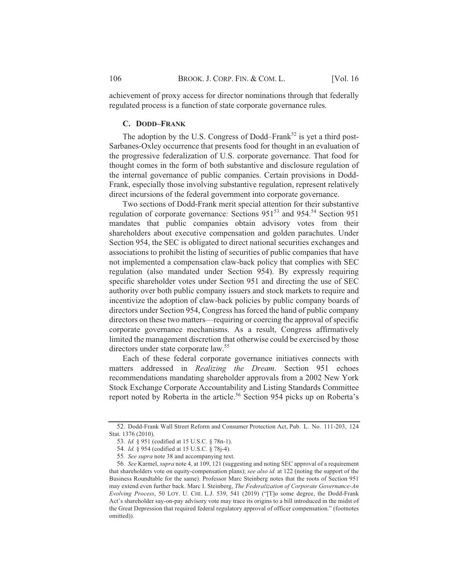achievement of proxy access for director nominations through that federally regulated process is a function of state corporate governance rules.

#### C. DODD-FRANK

The adoption by the U.S. Congress of Dodd–Frank<sup>52</sup> is yet a third post-Sarbanes-Oxley occurrence that presents food for thought in an evaluation of the progressive federalization of U.S. corporate governance. That food for thought comes in the form of both substantive and disclosure regulation of the internal governance of public companies. Certain provisions in Dodd-Frank, especially those involving substantive regulation, represent relatively direct incursions of the federal government into corporate governance.

Two sections of Dodd-Frank merit special attention for their substantive regulation of corporate governance: Sections 951<sup>53</sup> and 954.<sup>54</sup> Section 951 mandates that public companies obtain advisory votes from their shareholders about executive compensation and golden parachutes. Under Section 954, the SEC is obligated to direct national securities exchanges and associations to prohibit the listing of securities of public companies that have not implemented a compensation claw-back policy that complies with SEC regulation (also mandated under Section 954). By expressly requiring specific shareholder votes under Section 951 and directing the use of SEC authority over both public company issuers and stock markets to require and incentivize the adoption of claw-back policies by public company boards of directors under Section 954, Congress has forced the hand of public company directors on these two matters—requiring or coercing the approval of specific corporate governance mechanisms. As a result, Congress affirmatively limited the management discretion that otherwise could be exercised by those directors under state corporate law.<sup>55</sup>

Each of these federal corporate governance initiatives connects with matters addressed in Realizing the Dream. Section 951 echoes recommendations mandating shareholder approvals from a 2002 New York Stock Exchange Corporate Accountability and Listing Standards Committee report noted by Roberta in the article.<sup>56</sup> Section 954 picks up on Roberta's

106

<sup>52.</sup> Dodd-Frank Wall Street Reform and Consumer Protection Act, Pub. L. No. 111-203, 124 Stat. 1376 (2010).

<sup>53.</sup> Id. § 951 (codified at 15 U.S.C. § 78n-1).

<sup>54.</sup> *Id.* § 954 (codified at 15 U.S.C. § 78*j*-4).

<sup>55.</sup> See supra note 38 and accompanying text.

<sup>56.</sup> See Karmel, supra note 4, at 109, 121 (suggesting and noting SEC approval of a requirement that shareholders vote on equity-compensation plans); see also id. at 122 (noting the support of the Business Roundtable for the same). Professor Marc Steinberg notes that the roots of Section 951 may extend even further back. Marc I. Steinberg, The Federalization of Corporate Governance-An Evolving Process, 50 LOY. U. CHI. L.J. 539, 541 (2019) ("[T]o some degree, the Dodd-Frank Act's shareholder say-on-pay advisory vote may trace its origins to a bill introduced in the midst of the Great Depression that required federal regulatory approval of officer compensation." (footnotes omitted)).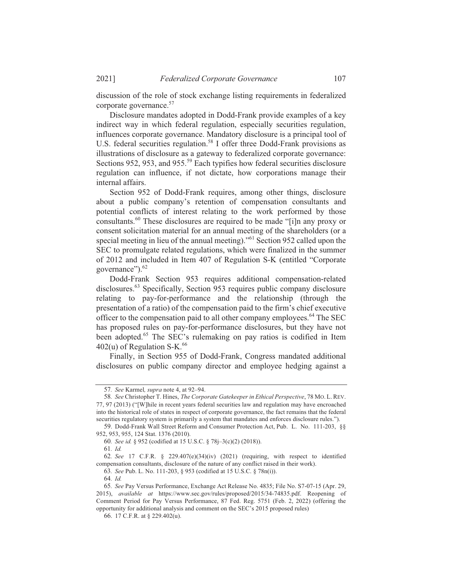discussion of the role of stock exchange listing requirements in federalized corporate governance. $57$ 

Disclosure mandates adopted in Dodd-Frank provide examples of a key indirect way in which federal regulation, especially securities regulation, influences corporate governance. Mandatory disclosure is a principal tool of U.S. federal securities regulation.<sup>58</sup> I offer three Dodd-Frank provisions as illustrations of disclosure as a gateway to federalized corporate governance: Sections 952, 953, and 955.<sup>59</sup> Each typifies how federal securities disclosure regulation can influence, if not dictate, how corporations manage their internal affairs.

Section 952 of Dodd-Frank requires, among other things, disclosure about a public company's retention of compensation consultants and potential conflicts of interest relating to the work performed by those consultants.<sup>60</sup> These disclosures are required to be made "[i]n any proxy or consent solicitation material for an annual meeting of the shareholders (or a special meeting in lieu of the annual meeting)."<sup>61</sup> Section 952 called upon the SEC to promulgate related regulations, which were finalized in the summer of 2012 and included in Item 407 of Regulation S-K (entitled "Corporate" governance").<sup>62</sup>

Dodd-Frank Section 953 requires additional compensation-related  $\mu$ disclosures.<sup>63</sup> Specifically, Section 953 requires public company disclosure relating to pay-for-performance and the relationship (through the presentation of a ratio) of the compensation paid to the firm's chief executive officer to the compensation paid to all other company employees.<sup>64</sup> The SEC has proposed rules on pay-for-performance disclosures, but they have not been adopted.<sup>65</sup> The SEC's rulemaking on pay ratios is codified in Item  $402(u)$  of Regulation S-K.<sup>66</sup>

Finally, in Section 955 of Dodd-Frank, Congress mandated additional disclosures on public company director and employee hedging against a

<sup>57.</sup> See Karmel, *supra* note 4, at 92-94.

<sup>58.</sup> See Christopher T. Hines, *The Corporate Gatekeeper in Ethical Perspective*, 78 MO. L. REV. 77, 97 (2013) ("[W] hile in recent years federal securities law and regulation may have encroached into the historical role of states in respect of corporate governance, the fact remains that the federal securities regulatory system is primarily a system that mandates and enforces disclosure rules.").

<sup>59.</sup> Dodd-Frank Wall Street Reform and Consumer Protection Act. Pub. L. No. 111-203. 88 952, 953, 955, 124 Stat, 1376 (2010).

<sup>60.</sup> See id. § 952 (codified at 15 U.S.C. § 78*i*–3(c)(2) (2018)).

<sup>61.</sup> *Id.* 

<sup>62.</sup> See 17 C.F.R.  $\frac{8}{229.407(e)(34)(iv)}$  (2021) (requiring, with respect to identified compensation consultants, disclosure of the nature of any conflict raised in their work).

<sup>63.</sup> See Pub. L. No. 111-203. § 953 (codified at 15 U.S.C. § 78n(i)).

<sup>64.</sup> Id.

<sup>65.</sup> See Pay Versus Performance, Exchange Act Release No. 4835: File No. S7-07-15 (Apr. 29, 2015), *available at* https://www.sec.gov/rules/proposed/2015/34-74835.pdf. Reopening of Comment Period for Pay Versus Performance,  $87$  Fed. Reg. 5751 (Feb. 2, 2022) (offering the opportunity for additional analysis and comment on the SEC's 2015 proposed rules)

<sup>66. 17</sup> C.F.R. at  $\frac{1}{2}$  229.402(u).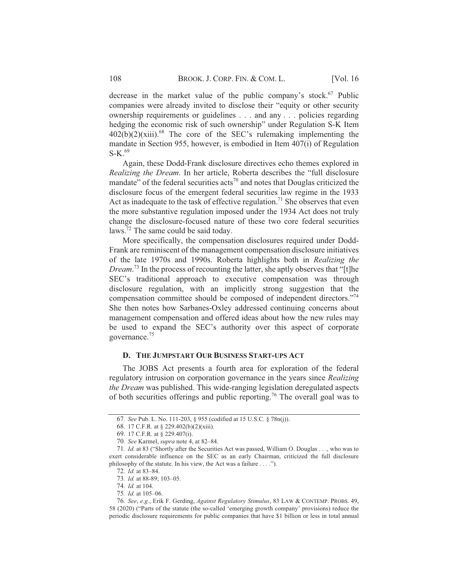decrease in the market value of the public company's stock.<sup>67</sup> Public companies were already invited to disclose their "equity or other security ownership requirements or guidelines . . . and any . . . policies regarding hedging the economic risk of such ownership" under Regulation S-K Item  $402(b)(2)(xiii).$ <sup>68</sup> The core of the SEC's rulemaking implementing the mandate in Section 955, however, is embodied in Item 407(i) of Regulation  $S-K$ <sup>69</sup>

Again, these Dodd-Frank disclosure directives echo themes explored in Realizing the Dream. In her article, Roberta describes the "full disclosure" mandate" of the federal securities  $\arccos^{70}$  and notes that Douglas criticized the disclosure focus of the emergent federal securities law regime in the 1933 Act as inadequate to the task of effective regulation.<sup>71</sup> She observes that even the more substantive regulation imposed under the 1934 Act does not truly change the disclosure-focused nature of these two core federal securities  $laws.<sup>72</sup>$  The same could be said today.

More specifically, the compensation disclosures required under Dodd-Frank are reminiscent of the management compensation disclosure initiatives of the late 1970s and 1990s. Roberta highlights both in Realizing the *Dream.*<sup>73</sup> In the process of recounting the latter, she aptly observes that "[t] he SEC's traditional approach to executive compensation was through disclosure regulation, with an implicitly strong suggestion that the compensation committee should be composed of independent directors."<sup>74</sup> She then notes how Sarbanes-Oxley addressed continuing concerns about management compensation and offered ideas about how the new rules may be used to expand the SEC's authority over this aspect of corporate governance.<sup>75</sup>

### D. THE JUMPSTART OUR BUSINESS START-UPS ACT

The JOBS Act presents a fourth area for exploration of the federal regulatory intrusion on corporation governance in the years since Realizing the Dream was published. This wide-ranging legislation deregulated aspects of both securities offerings and public reporting.<sup>76</sup> The overall goal was to

<sup>67.</sup> See Pub. L. No. 111-203, § 955 (codified at 15 U.S.C. § 78n(j)).

<sup>68. 17</sup> C.F.R. at § 229.402(b)(2)(xiii).

<sup>69. 17</sup> C.F.R. at § 229.407(i).

<sup>70.</sup> See Karmel, supra note 4, at 82-84.

<sup>71.</sup> Id. at 83 ("Shortly after the Securities Act was passed, William O. Douglas . . ., who was to exert considerable influence on the SEC as an early Chairman, criticized the full disclosure philosophy of the statute. In his view, the Act was a failure . . . .").

<sup>72.</sup> *Id.* at 83-84.

<sup>73.</sup> Id. at 88-89; 103-05.

<sup>74.</sup> Id. at 104.

<sup>75.</sup> Id. at 105-06.

<sup>76.</sup> See, e.g., Erik F. Gerding, Against Regulatory Stimulus, 83 LAW & CONTEMP. PROBS. 49, 58 (2020) ("Parts of the statute (the so-called 'emerging growth company' provisions) reduce the periodic disclosure requirements for public companies that have \$1 billion or less in total annual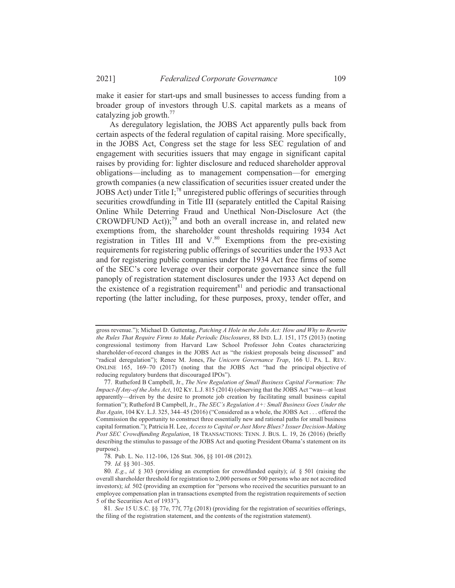make it easier for start-ups and small businesses to access funding from a broader group of investors through U.S. capital markets as a means of catalyzing job growth. $^{77}$ 

As deregulatory legislation, the JOBS Act apparently pulls back from certain aspects of the federal regulation of capital raising. More specifically, in the JOBS Act, Congress set the stage for less SEC regulation of and engagement with securities issuers that may engage in significant capital raises by providing for: lighter disclosure and reduced shareholder approval obligations—including as to management compensation—for emerging growth companies (a new classification of securities issuer created under the JOBS Act) under Title I;<sup>78</sup> unregistered public offerings of securities through securities crowdfunding in Title III (separately entitled the Capital Raising Online While Deterring Fraud and Unethical Non-Disclosure Act (the CROWDFUND Act));<sup>79</sup> and both an overall increase in, and related new exemptions from, the shareholder count thresholds requiring 1934 Act registration in Titles III and V.<sup>80</sup> Exemptions from the pre-existing requirements for registering public offerings of securities under the 1933 Act and for registering public companies under the 1934 Act free firms of some of the SEC's core leverage over their corporate governance since the full panoply of registration statement disclosures under the 1933 Act depend on the existence of a registration requirement<sup>81</sup> and periodic and transactional reporting (the latter including, for these purposes, proxy, tender offer, and

gross revenue."); Michael D. Guttentag, Patching A Hole in the Jobs Act: How and Why to Rewrite the Rules That Require Firms to Make Periodic Disclosures, 88 IND. L.J. 151, 175 (2013) (noting congressional testimony from Harvard Law School Professor John Coates characterizing shareholder-of-record changes in the JOBS Act as "the riskiest proposals being discussed" and "radical deregulation"); Renee M. Jones, The Unicorn Governance Trap, 166 U. PA. L. REV. ONLINE 165, 169-70 (2017) (noting that the JOBS Act "had the principal objective of reducing regulatory burdens that discouraged IPOs").

<sup>77.</sup> Rutheford B Campbell, Jr., The New Regulation of Small Business Capital Formation: The Impact-If Any-of the Jobs Act, 102 KY. L.J. 815 (2014) (observing that the JOBS Act "was—at least apparently—driven by the desire to promote job creation by facilitating small business capital formation"); Rutheford B Campbell, Jr., The SEC's Regulation A+: Small Business Goes Under the Bus Again, 104 KY. L.J. 325, 344–45 (2016) ("Considered as a whole, the JOBS Act... offered the Commission the opportunity to construct three essentially new and rational paths for small business capital formation."); Patricia H. Lee, Access to Capital or Just More Blues? Issuer Decision-Making Post SEC Crowdfunding Regulation, 18 TRANSACTIONS: TENN. J. BUS. L. 19, 26 (2016) (briefly describing the stimulus to passage of the JOBS Act and quoting President Obama's statement on its purpose).

<sup>78.</sup> Pub. L. No. 112-106, 126 Stat. 306, §§ 101-08 (2012).

<sup>79.</sup> Id. §§ 301-305.

<sup>80.</sup> E.g., id. § 303 (providing an exemption for crowdfunded equity); id. § 501 (raising the overall shareholder threshold for registration to 2,000 persons or 500 persons who are not accredited investors); id. 502 (providing an exemption for "persons who received the securities pursuant to an employee compensation plan in transactions exempted from the registration requirements of section 5 of the Securities Act of 1933").

<sup>81.</sup> See 15 U.S.C. §§ 77e, 77f, 77g (2018) (providing for the registration of securities offerings, the filing of the registration statement, and the contents of the registration statement).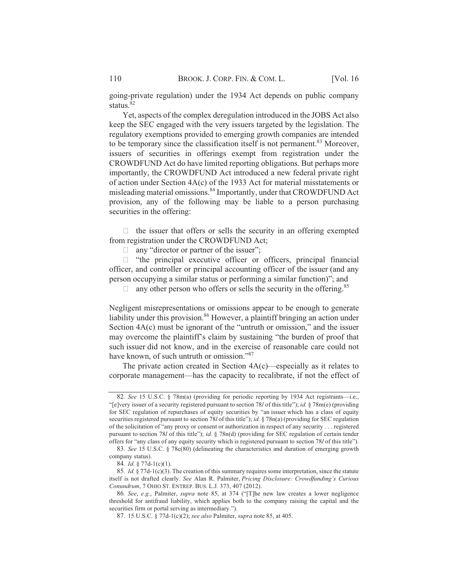going-private regulation) under the 1934 Act depends on public company status.<sup>82</sup>

Yet, aspects of the complex deregulation introduced in the JOBS Act also keep the SEC engaged with the very issuers targeted by the legislation. The regulatory exemptions provided to emerging growth companies are intended to be temporary since the classification itself is not permanent.<sup>83</sup> Moreover, issuers of securities in offerings exempt from registration under the CROWDFUND Act do have limited reporting obligations. But perhaps more importantly, the CROWDFUND Act introduced a new federal private right of action under Section  $4A(c)$  of the 1933 Act for material misstatements or misleading material omissions.<sup>84</sup> Importantly, under that CROWDFUND Act provision, any of the following may be liable to a person purchasing securities in the offering:

 $\Box$  the issuer that offers or sells the security in an offering exempted from registration under the CROWDFUND Act:

 $\Box$  any "director or partner of the issuer";

 $\Box$  "the principal executive officer or officers, principal financial officer, and controller or principal accounting officer of the issuer (and any person occupying a similar status or performing a similar function)"; and

 $\Box$  any other person who offers or sells the security in the offering.<sup>85</sup>

Negligent misrepresentations or omissions appear to be enough to generate liability under this provision.<sup>86</sup> However, a plaintiff bringing an action under Section  $4A(c)$  must be ignorant of the "untruth or omission," and the issuer may overcome the plaintiff's claim by sustaining "the burden of proof that such issuer did not know, and in the exercise of reasonable care could not have known, of such untruth or omission."<sup>87</sup>

The private action created in Section  $4A(c)$ —especially as it relates to corporate management—has the capacity to recalibrate, if not the effect of

<sup>82.</sup> See 15 U.S.C. § 78m(a) (providing for periodic reporting by 1934 Act registrants—i.e. "[e]very issuer of a security registered pursuant to section 78*l* of this title"); *id.*  $878m(e)$  (providing for SEC regulation of repurchases of equity securities by "an issuer which has a class of equity securities registered pursuant to section 78*l* of this title"); *id.*  $\delta$  78n(a) (providing for SEC regulation of the solicitation of "any proxy or consent or authorization in respect of any security  $\dots$  registered pursuant to section 78*l* of this title"); *id.*  $\frac{8}{30}$  (d) (providing for SEC regulation of certain tender offers for "any class of any equity security which is registered pursuant to section 78l of this title").

<sup>83.</sup> See 15 U.S.C. § 78c(80) (delineating the characteristics and duration of emerging growth company status).

 $\overrightarrow{84}$ . *Id.* § 77d-1(c)(1).

<sup>85.</sup> *Id.*  $\frac{8}{77d-1}$  (c)(3). The creation of this summary requires some interpretation, since the statute *itself is not drafted clearly, See Alan R. Palmiter, Pricing Disclosure: Crowdfunding's Curious Conundrum, 7 OHIO ST. ENTREP. BUS. L.J. 373, 407 (2012).* 

<sup>86.</sup> See, e.g., Palmiter, *supra* note 85, at 374 ("[T]he new law creates a lower negligence threshold for antifraud liability, which applies both to the company raising the capital and the securities firm or portal serving as intermediary.").

<sup>87. 15</sup> U.S.C.  $\frac{8}{3}$  77d-1(c)(2): see also Palmiter, supra note 85, at 405.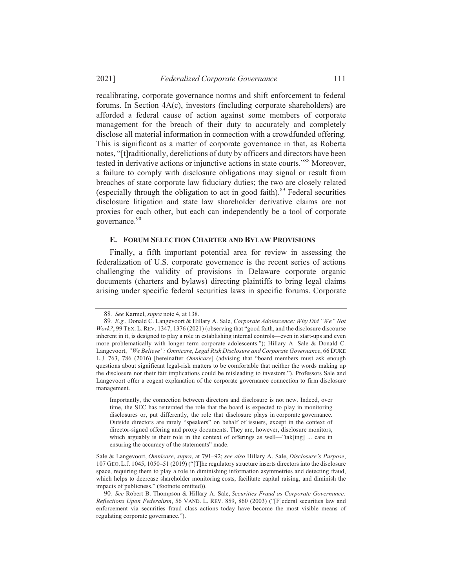recalibrating, corporate governance norms and shift enforcement to federal forums. In Section  $4A(c)$ , investors (including corporate shareholders) are afforded a federal cause of action against some members of corporate management for the breach of their duty to accurately and completely disclose all material information in connection with a crowdfunded offering. This is significant as a matter of corporate governance in that, as Roberta notes, "[t]raditionally, derelictions of duty by officers and directors have been tested in derivative actions or injunctive actions in state courts."<sup>88</sup> Moreover, a failure to comply with disclosure obligations may signal or result from breaches of state corporate law fiduciary duties; the two are closely related (especially through the obligation to act in good faith).<sup>89</sup> Federal securities disclosure litigation and state law shareholder derivative claims are not proxies for each other, but each can independently be a tool of corporate  $\epsilon$  governance.<sup>90</sup>

## **E. FORUM SELECTION CHARTER AND BYLAW PROVISIONS**

Finally, a fifth important potential area for review in assessing the federalization of U.S. corporate governance is the recent series of actions challenging the validity of provisions in Delaware corporate organic documents (charters and bylaws) directing plaintiffs to bring legal claims arising under specific federal securities laws in specific forums. Corporate

Importantly, the connection between directors and disclosure is not new. Indeed, over time, the SEC has reiterated the role that the board is expected to play in monitoring disclosures or, put differently, the role that disclosure plays in corporate governance. Outside directors are rarely "speakers" on behalf of issuers, except in the context of director-signed offering and proxy documents. They are, however, disclosure monitors, which arguably is their role in the context of offerings as well—"tak[ing] ... care in ensuring the accuracy of the statements" made.

<sup>88.</sup> See Karmel, *supra* note 4, at 138.

<sup>89.</sup> E.g., Donald C. Langevoort & Hillary A. Sale, *Corporate Adolescence: Why Did "We" Not* Work?, 99 TEX. L. REV. 1347, 1376 (2021) (observing that "good faith, and the disclosure discourse inherent in it, is designed to play a role in establishing internal controls—even in start-ups and even more problematically with longer term corporate adolescents."): Hillary A. Sale  $\&$  Donald C. Langevoort, *"We Believe": Omnicare, Legal Risk Disclosure and Corporate Governance, 66 DUKE* L.J. 763, 786 (2016) [hereinafter *Omnicare*] (advising that "board members must ask enough questions about significant legal-risk matters to be comfortable that neither the words making up the disclosure nor their fair implications could be misleading to investors."). Professors Sale and Langevoort offer a cogent explanation of the corporate governance connection to firm disclosure management.

Sale & Langevoort, *Omnicare*, *supra*, at 791-92; see also Hillary A. Sale, Disclosure's Purpose, 107 GEO. L.J. 1045, 1050-51 (2019) ("[T]he regulatory structure inserts directors into the disclosure space, requiring them to play a role in diminishing information asymmetries and detecting fraud, which helps to decrease shareholder monitoring costs, facilitate capital raising, and diminish the impacts of publicness." (footnote omitted)).

<sup>90.</sup> See Robert B. Thompson & Hillary A. Sale, Securities Fraud as Corporate Governance: Reflections Upon Federalism, 56 VAND. L. REV. 859, 860 (2003) ("[Flederal securities law and enforcement via securities fraud class actions today have become the most visible means of regulating corporate governance.").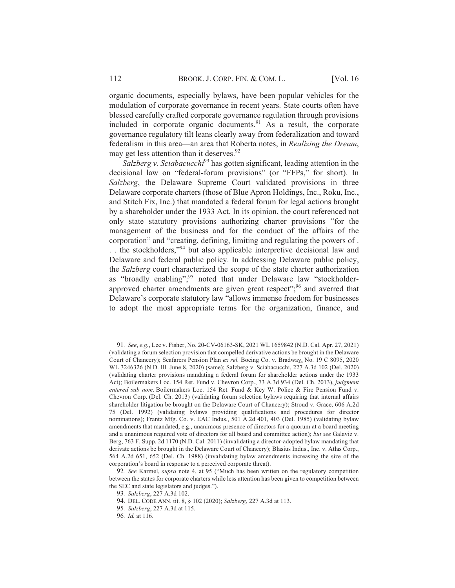organic documents, especially bylaws, have been popular vehicles for the modulation of corporate governance in recent years. State courts often have blessed carefully crafted corporate governance regulation through provisions included in corporate organic documents.<sup>91</sup> As a result, the corporate governance regulatory tilt leans clearly away from federalization and toward federalism in this area—an area that Roberta notes, in *Realizing the Dream*, may get less attention than it deserves.  $92$ 

*Salzberg v. Sciabacucchi*<sup>93</sup> has gotten significant, leading attention in the decisional law on "federal-forum provisions" (or "FFPs," for short). In *Salzberg*, the Delaware Supreme Court validated provisions in three Delaware corporate charters (those of Blue Apron Holdings, Inc., Roku, Inc., and Stitch Fix, Inc.) that mandated a federal forum for legal actions brought by a shareholder under the 1933 Act. In its opinion, the court referenced not only state statutory provisions authorizing charter provisions "for the management of the business and for the conduct of the affairs of the corporation" and "creating, defining, limiting and regulating the powers of. . the stockholders,"<sup>94</sup> but also applicable interpretive decisional law and Delaware and federal public policy. In addressing Delaware public policy, the *Salzberg* court characterized the scope of the state charter authorization as "broadly enabling":<sup>95</sup> noted that under Delaware law "stockholderapproved charter amendments are given great respect": $96$  and averred that Delaware's corporate statutory law "allows immense freedom for businesses to adopt the most appropriate terms for the organization, finance, and

<sup>91.</sup> See, e.g., Lee v. Fisher, No. 20-CV-06163-SK, 2021 WL 1659842 (N.D. Cal. Apr. 27, 2021) (validating a forum selection provision that compelled derivative actions be brought in the Delaware Court of Chancery): Seafarers Pension Plan *ex rel.* Boeing Co. v. Bradway, No. 19 C 8095, 2020 WL 3246326 (N.D. Ill. June 8, 2020) (same); Salzberg v. Sciabacucchi, 227 A.3d 102 (Del. 2020) (validating charter provisions mandating a federal forum for shareholder actions under the 1933 Act): Boilermakers Loc. 154 Ret. Fund v. Chevron Corp., 73 A.3d 934 (Del. Ch. 2013), *judgment* entered sub nom. Boilermakers Loc. 154 Ret. Fund & Key W. Police & Fire Pension Fund v. Chevron Corp. (Del. Ch. 2013) (validating forum selection bylaws requiring that internal affairs shareholder litigation be brought on the Delaware Court of Chancery): Stroud v. Grace, 606 A.2d 75 (Del. 1992) (validating bylaws providing qualifications and procedures for director nominations): Frantz Mfg. Co. v. EAC Indus.,  $501$  A.2d 401, 403 (Del. 1985) (validating bylaw amendments that mandated, e.g., unanimous presence of directors for a quorum at a board meeting and a unanimous required vote of directors for all board and committee action); but see Galaviz v. Berg, 763 F. Supp. 2d 1170 (N.D. Cal. 2011) (invalidating a director-adopted by law mandating that derivate actions be brought in the Delaware Court of Chancery): Blasius Indus., Inc. v. Atlas Corp.  $564$  A.2d  $651$ ,  $652$  (Del. Ch. 1988) (invalidating bylaw amendments increasing the size of the corporation's board in response to a perceived corporate threat).

<sup>92.</sup> See Karmel, *supra* note 4, at 95 ("Much has been written on the regulatory competition between the states for corporate charters while less attention has been given to competition between the SEC and state legislators and judges.").

<sup>93.</sup> Salzberg, 227 A.3d 102.

<sup>94.</sup> DEL. CODE ANN. tit. 8, § 102 (2020): Salzberg, 227 A.3d at 113.

<sup>95.</sup> Salzberg, 227 A.3d at 115.

<sup>96.</sup> *Id.* at 116.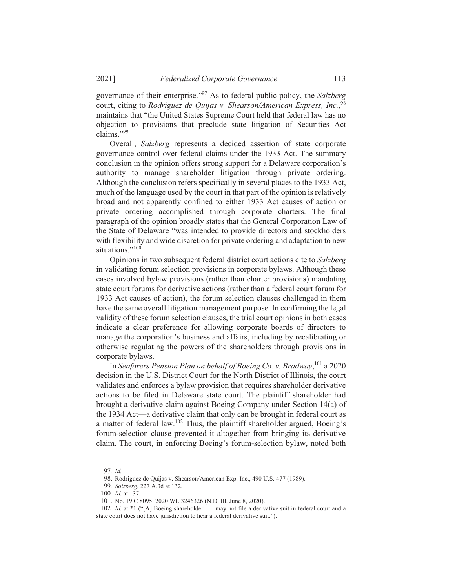governance of their enterprise."<sup>97</sup> As to federal public policy, the *Salzberg* court, citing to *Rodriguez de Ouijas v. Shearson/American Express, Inc.*,<sup>98</sup> maintains that "the United States Supreme Court held that federal law has no objection to provisions that preclude state litigation of Securities Act claims." $99$ 

Overall, Salzberg represents a decided assertion of state corporate governance control over federal claims under the 1933 Act. The summary conclusion in the opinion offers strong support for a Delaware corporation's authority to manage shareholder litigation through private ordering. Although the conclusion refers specifically in several places to the 1933 Act, much of the language used by the court in that part of the opinion is relatively broad and not apparently confined to either 1933 Act causes of action or private ordering accomplished through corporate charters. The final paragraph of the opinion broadly states that the General Corporation Law of the State of Delaware "was intended to provide directors and stockholders with flexibility and wide discretion for private ordering and adaptation to new situations."<sup>100</sup>

Opinions in two subsequent federal district court actions cite to Salzberg in validating forum selection provisions in corporate bylaws. Although these cases involved bylaw provisions (rather than charter provisions) mandating state court forums for derivative actions (rather than a federal court forum for 1933 Act causes of action), the forum selection clauses challenged in them have the same overall litigation management purpose. In confirming the legal validity of these forum selection clauses, the trial court opinions in both cases indicate a clear preference for allowing corporate boards of directors to manage the corporation's business and affairs, including by recalibrating or otherwise regulating the powers of the shareholders through provisions in corporate bylaws.

In Seafarers Pension Plan on behalf of Boeing Co. v. Bradway.<sup>101</sup> a 2020 decision in the U.S. District Court for the North District of Illinois, the court validates and enforces a bylaw provision that requires shareholder derivative actions to be filed in Delaware state court. The plaintiff shareholder had brought a derivative claim against Boeing Company under Section 14(a) of the 1934 Act—a derivative claim that only can be brought in federal court as a matter of federal law.<sup>102</sup> Thus, the plaintiff shareholder argued, Boeing's forum-selection clause prevented it altogether from bringing its derivative claim. The court, in enforcing Boeing's forum-selection bylaw, noted both

<sup>97.</sup> Id.

<sup>98.</sup> Rodriguez de Ouijas v. Shearson/American Exp. Inc., 490 U.S. 477 (1989).

<sup>99.</sup> Salzberg, 227 A.3d at 132.

<sup>100.</sup> *Id.* at 137.

<sup>101.</sup> No. 19 C 8095, 2020 WL 3246326 (N.D. Ill. June 8, 2020).

<sup>102.</sup> *Id.* at \*1 ("[A] Boeing shareholder . . . may not file a derivative suit in federal court and a state court does not have jurisdiction to hear a federal derivative suit.").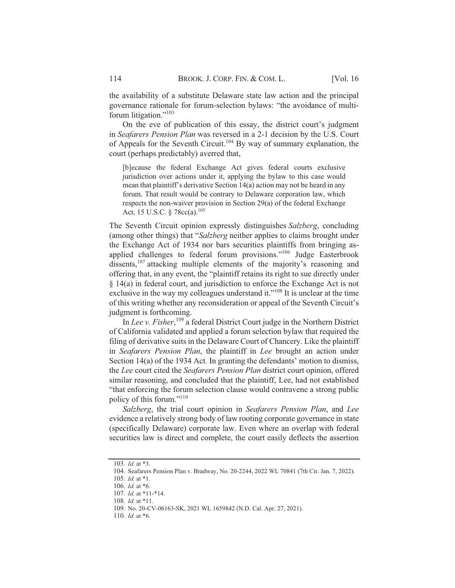the availability of a substitute Delaware state law action and the principal governance rationale for forum-selection bylaws: "the avoidance of multiforum litigation."<sup>103</sup>

On the eve of publication of this essay, the district court's judgment in Seafarers Pension Plan was reversed in a 2-1 decision by the U.S. Court of Appeals for the Seventh Circuit.<sup>104</sup> By way of summary explanation, the court (perhaps predictably) averred that,

[b]ecause the federal Exchange Act gives federal courts exclusive jurisdiction over actions under it, applying the bylaw to this case would mean that plaintiff's derivative Section 14(a) action may not be heard in any forum. That result would be contrary to Delaware corporation law, which respects the non-waiver provision in Section 29(a) of the federal Exchange Act, 15 U.S.C. § 78cc(a).<sup>105</sup>

The Seventh Circuit opinion expressly distinguishes Salzberg, concluding (among other things) that "Salzberg neither applies to claims brought under the Exchange Act of 1934 nor bars securities plaintiffs from bringing asapplied challenges to federal forum provisions."<sup>106</sup> Judge Easterbrook dissents,  $107$  attacking multiple elements of the majority's reasoning and offering that, in any event, the "plaintiff retains its right to sue directly under  $\S$  14(a) in federal court, and jurisdiction to enforce the Exchange Act is not exclusive in the way my colleagues understand it."<sup>108</sup> It is unclear at the time of this writing whether any reconsideration or appeal of the Seventh Circuit's judgment is forthcoming.

In Lee v. Fisher,  $^{109}$  a federal District Court judge in the Northern District of California validated and applied a forum selection bylaw that required the filing of derivative suits in the Delaware Court of Chancery. Like the plaintiff in Seafarers Pension Plan, the plaintiff in Lee brought an action under Section 14(a) of the 1934 Act. In granting the defendants' motion to dismiss, the Lee court cited the Seafarers Pension Plan district court opinion, offered similar reasoning, and concluded that the plaintiff, Lee, had not established "that enforcing the forum selection clause would contravene a strong public policy of this forum."<sup>110</sup>

Salzberg, the trial court opinion in Seafarers Pension Plan, and Lee evidence a relatively strong body of law rooting corporate governance in state (specifically Delaware) corporate law. Even where an overlap with federal securities law is direct and complete, the court easily deflects the assertion

<sup>103.</sup> Id. at \*3.

<sup>104.</sup> Seafarers Pension Plan v. Bradway, No. 20-2244, 2022 WL 70841 (7th Cir. Jan. 7, 2022).

<sup>105.</sup> Id. at \*1.

<sup>106.</sup> Id. at \*6.

<sup>107.</sup> Id. at \*11-\*14.

<sup>108.</sup> Id. at \*11.

<sup>109.</sup> No. 20-CV-06163-SK, 2021 WL 1659842 (N.D. Cal. Apr. 27, 2021).

<sup>110.</sup> Id. at \*6.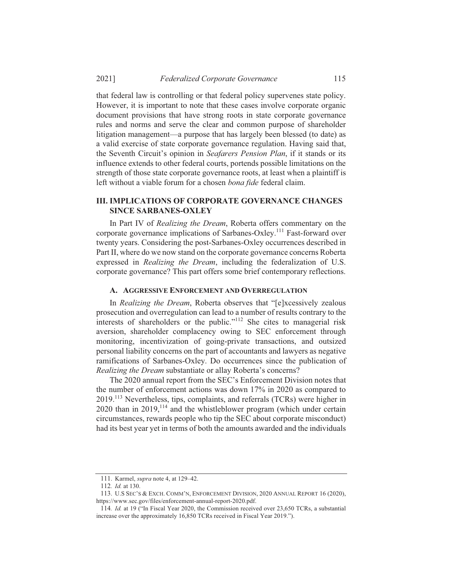that federal law is controlling or that federal policy supervenes state policy. However, it is important to note that these cases involve corporate organic document provisions that have strong roots in state corporate governance rules and norms and serve the clear and common purpose of shareholder litigation management—a purpose that has largely been blessed (to date) as a valid exercise of state corporate governance regulation. Having said that, the Seventh Circuit's opinion in Seafarers Pension Plan, if it stands or its influence extends to other federal courts, portends possible limitations on the strength of those state corporate governance roots, at least when a plaintiff is left without a viable forum for a chosen *bona fide* federal claim.

## **III. IMPLICATIONS OF CORPORATE GOVERNANCE CHANGES SINCE SARBANES-OXLEY**

In Part IV of *Realizing the Dream*, Roberta offers commentary on the corporate governance implications of Sarbanes-Oxley.<sup>111</sup> Fast-forward over twenty years. Considering the post-Sarbanes-Oxley occurrences described in Part II, where do we now stand on the corporate governance concerns Roberta expressed in *Realizing the Dream*, including the federalization of U.S.  $\overline{\text{1}}$  corporate governance? This part offers some brief contemporary reflections.

## **A. AGGRESSIVE ENFORCEMENT AND OVERREGULATION**

In *Realizing the Dream*, Roberta observes that "[e]xcessively zealous prosecution and overregulation can lead to a number of results contrary to the interests of shareholders or the public."<sup>112</sup> She cites to managerial risk aversion, shareholder complacency owing to SEC enforcement through monitoring, incentivization of going-private transactions, and outsized personal liability concerns on the part of accountants and lawyers as negative ramifications of Sarbanes-Oxley. Do occurrences since the publication of *Realizing the Dream* substantiate or allay Roberta's concerns?

The  $2020$  annual report from the SEC's Enforcement Division notes that the number of enforcement actions was down  $17\%$  in 2020 as compared to  $2019$ <sup>113</sup> Nevertheless, tips, complaints, and referrals (TCRs) were higher in 2020 than in 2019.<sup>114</sup> and the whistleblower program (which under certain circumstances, rewards people who tip the SEC about corporate misconduct) had its best vear vet in terms of both the amounts awarded and the individuals

<sup>111.</sup> Karmel, *supra* note 4, at 129-42.

<sup>112.</sup> *Id.* at 130.

<sup>113.</sup> U.S SEC'S & EXCH. COMM'N, ENFORCEMENT DIVISION, 2020 ANNUAL REPORT 16 (2020), https://www.sec.gov/files/enforcement-annual-report-2020.pdf.

<sup>114.</sup> *Id.* at 19 ("In Fiscal Year 2020, the Commission received over 23,650 TCRs, a substantial increase over the approximately  $16.850$  TCRs received in Fiscal Year 2019.").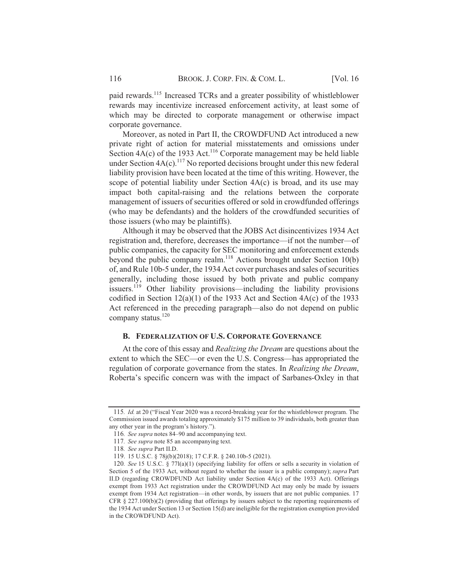paid rewards.<sup>115</sup> Increased TCRs and a greater possibility of whistleblower rewards may incentivize increased enforcement activity, at least some of which may be directed to corporate management or otherwise impact corporate governance.

Moreover, as noted in Part II, the CROWDFUND Act introduced a new private right of action for material misstatements and omissions under Section  $4A(c)$  of the 1933 Act.<sup>116</sup> Corporate management may be held liable under Section  $4A(c)$ .<sup>117</sup> No reported decisions brought under this new federal liability provision have been located at the time of this writing. However, the scope of potential liability under Section  $4A(c)$  is broad, and its use may impact both capital-raising and the relations between the corporate management of issuers of securities offered or sold in crowdfunded offerings (who may be defendants) and the holders of the crowdfunded securities of those issuers (who may be plaintiffs).

Although it may be observed that the JOBS Act disingentivizes 1934 Act registration and, therefore, decreases the importance—if not the number—of public companies, the capacity for SEC monitoring and enforcement extends beyond the public company realm.<sup>118</sup> Actions brought under Section 10(b) of, and Rule 10b-5 under, the 1934 Act cover purchases and sales of securities generally, including those issued by both private and public company issuers.<sup>119</sup> Other liability provisions—including the liability provisions codified in Section  $12(a)(1)$  of the 1933 Act and Section  $4A(c)$  of the 1933 Act referenced in the preceding paragraph—also do not depend on public company status.<sup>120</sup>

#### **B. FEDERALIZATION OF U.S. CORPORATE GOVERNANCE**

At the core of this essay and *Realizing the Dream* are questions about the extent to which the SEC—or even the U.S. Congress—has appropriated the regulation of corporate governance from the states. In Realizing the Dream, Roberta's specific concern was with the impact of Sarbanes-Oxley in that

<sup>115.</sup> *Id.* at 20 ("Fiscal Year 2020 was a record-breaking year for the whistleblower program. The Commission issued awards totaling approximately \$175 million to 39 individuals, both greater than any other year in the program's history.").

<sup>116.</sup> See supra notes 84–90 and accompanying text.

<sup>117.</sup> See supra note 85 an accompanying text.

<sup>118.</sup> See supra Part II.D.

<sup>119. 15</sup> U.S.C. § 78j(b)(2018); 17 C.F.R. § 240.10b-5 (2021).

<sup>120.</sup> See 15 U.S.C. § 771(a)(1) (specifying liability for offers or sells a security in violation of Section 5 of the 1933 Act, without regard to whether the issuer is a public company); supra Part II.D (regarding CROWDFUND Act liability under Section 4A(c) of the 1933 Act). Offerings exempt from 1933 Act registration under the CROWDFUND Act may only be made by issuers exempt from 1934 Act registration—in other words, by issuers that are not public companies. 17 CFR  $\S$  227.100(b)(2) (providing that offerings by issuers subject to the reporting requirements of the 1934 Act under Section 13 or Section 15(d) are ineligible for the registration exemption provided in the CROWDFUND Act).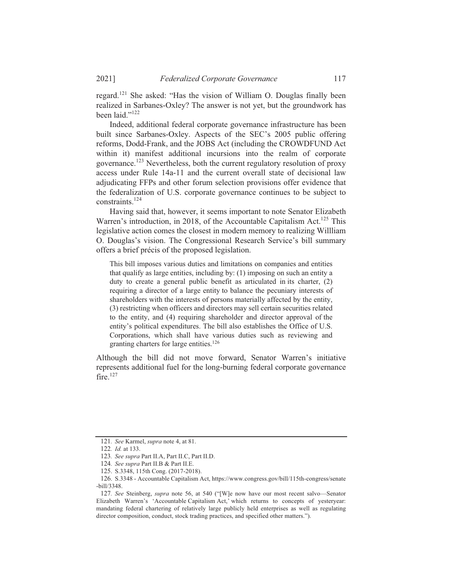regard.<sup>121</sup> She asked: "Has the vision of William O. Douglas finally been realized in Sarbanes-Oxley? The answer is not yet, but the groundwork has been laid." $^{122}$ 

Indeed, additional federal corporate governance infrastructure has been built since Sarbanes-Oxley. Aspects of the SEC's 2005 public offering reforms, Dodd-Frank, and the JOBS Act (including the CROWDFUND Act within it) manifest additional incursions into the realm of corporate governance.<sup>123</sup> Nevertheless, both the current regulatory resolution of proxy  $\alpha$  access under Rule 14a-11 and the current overall state of decisional law adiudicating FFPs and other forum selection provisions offer evidence that the federalization of U.S. corporate governance continues to be subject to constraints. $^{124}$ 

Having said that, however, it seems important to note Senator Elizabeth Warren's introduction, in 2018, of the Accountable Capitalism Act.<sup>125</sup> This legislative action comes the closest in modern memory to realizing Willliam O. Douglas's vision. The Congressional Research Service's bill summary offers a brief précis of the proposed legislation.

This bill imposes various duties and limitations on companies and entities that qualify as large entities, including by:  $(1)$  imposing on such an entity a duty to create a general public benefit as articulated in its charter. (2) requiring a director of a large entity to balance the pecuniary interests of shareholders with the interests of persons materially affected by the entity,  $(3)$  restricting when officers and directors may sell certain securities related to the entity, and  $(4)$  requiring shareholder and director approval of the entity's political expenditures. The bill also establishes the Office of U.S. Corporations, which shall have various duties such as reviewing and granting charters for large entities. $126$ 

Although the bill did not move forward. Senator Warren's initiative represents additional fuel for the long-burning federal corporate governance fire. $127$ 

<sup>121.</sup> See Karmel, supra note 4, at 81.

<sup>122.</sup> *Id.* at 133.

<sup>123.</sup> See supra Part II.A, Part II.C, Part II.D.

<sup>124.</sup> See supra Part II.B & Part II.E.

<sup>125.</sup> S.3348, 115th Cong. (2017-2018).

<sup>126.</sup> S.3348 - Accountable Capitalism Act. https://www.congress.gov/bill/115th-congress/senate -bill/3348.

<sup>127.</sup> See Steinberg, *supra* note 56, at 540 ("We now have our most recent salvo—Senator Elizabeth Warren's 'Accountable Capitalism Act,' which returns to concepts of yesteryear: mandating federal chartering of relatively large publicly held enterprises as well as regulating director composition, conduct, stock trading practices, and specified other matters.").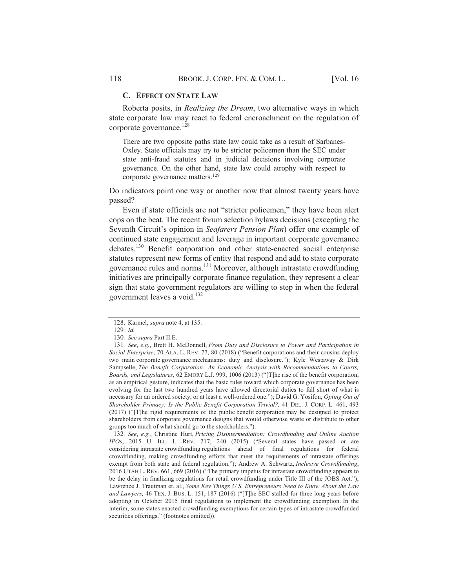#### **C. EFFECT ON STATE LAW**

Roberta posits, in *Realizing the Dream*, two alternative ways in which state corporate law may react to federal encroachment on the regulation of corporate governance.<sup>128</sup>

There are two opposite paths state law could take as a result of Sarbanes-Oxley. State officials may try to be stricter policemen than the SEC under state anti-fraud statutes and in judicial decisions involving corporate governance. On the other hand, state law could atrophy with respect to corporate governance matters.<sup>129</sup>

Do indicators point one way or another now that almost twenty years have passed?

Even if state officials are not "stricter policemen," they have been alert cops on the beat. The recent forum selection by laws decisions (excepting the Seventh Circuit's opinion in Seafarers Pension Plan) offer one example of continued state engagement and leverage in important corporate governance debates.<sup>130</sup> Benefit corporation and other state-enacted social enterprise statutes represent new forms of entity that respond and add to state corporate governance rules and norms.<sup>131</sup> Moreover, although intrastate crowdfunding initiatives are principally corporate finance regulation, they represent a clear sign that state government regulators are willing to step in when the federal government leaves a void.<sup>132</sup>

132. See, e.g., Christine Hurt, Pricing Disintermediation: Crowdfunding and Online Auction IPOs, 2015 U. ILL. L. REV. 217, 240 (2015) ("Several states have passed or are considering intrastate crowdfunding regulations ahead of final regulations for federal crowdfunding, making crowdfunding efforts that meet the requirements of intrastate offerings exempt from both state and federal regulation."); Andrew A. Schwartz, Inclusive Crowdfunding, 2016 UTAH L. REV. 661, 669 (2016) ("The primary impetus for intrastate crowdfunding appears to be the delay in finalizing regulations for retail crowdfunding under Title III of the JOBS Act."); Lawrence J. Trautman et. al., Some Key Things U.S. Entrepreneurs Need to Know About the Law and Lawyers, 46 TEX. J. BUS. L. 151, 187 (2016) ("[T]he SEC stalled for three long years before adopting in October 2015 final regulations to implement the crowdfunding exemption. In the interim, some states enacted crowdfunding exemptions for certain types of intrastate crowdfunded securities offerings." (footnotes omitted)).

<sup>128.</sup> Karmel, supra note 4, at 135.

 $129.$  Id.

<sup>130.</sup> See supra Part II.E.

<sup>131.</sup> See, e.g., Brett H. McDonnell, From Duty and Disclosure to Power and Participation in Social Enterprise, 70 ALA. L. REV. 77, 80 (2018) ("Benefit corporations and their cousins deploy two main corporate governance mechanisms: duty and disclosure."); Kyle Westaway & Dirk Sampselle, The Benefit Corporation: An Economic Analysis with Recommendations to Courts, Boards, and Legislatures, 62 EMORY L.J. 999, 1006 (2013) ("[T]he rise of the benefit corporation, as an empirical gesture, indicates that the basic rules toward which corporate governance has been evolving for the last two hundred years have allowed directorial duties to fall short of what is necessary for an ordered society, or at least a well-ordered one."); David G. Yosifon, Opting Out of Shareholder Primacy: Is the Public Benefit Corporation Trivial?, 41 DEL. J. CORP. L. 461, 493 (2017) ("[T]he rigid requirements of the public benefit corporation may be designed to protect shareholders from corporate governance designs that would otherwise waste or distribute to other groups too much of what should go to the stockholders.").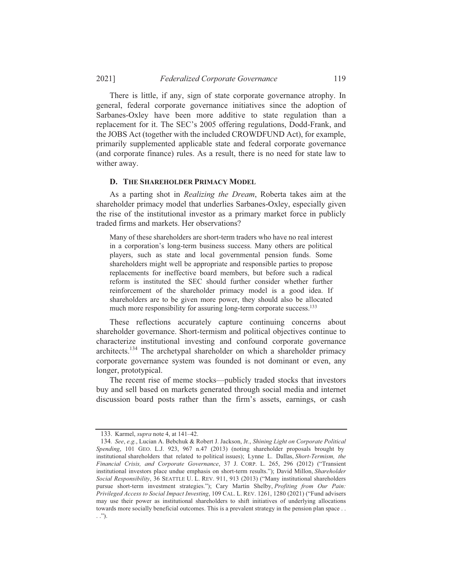There is little, if any, sign of state corporate governance atrophy. In general, federal corporate governance initiatives since the adoption of Sarbanes-Oxley have been more additive to state regulation than a replacement for it. The SEC's 2005 offering regulations, Dodd-Frank, and the JOBS Act (together with the included CROWDFUND Act), for example, primarily supplemented applicable state and federal corporate governance (and corporate finance) rules. As a result, there is no need for state law to wither away.

#### **D. THE SHAREHOLDER PRIMACY MODEL**

As a parting shot in *Realizing the Dream*, Roberta takes aim at the shareholder primacy model that underlies Sarbanes-Oxley, especially given the rise of the institutional investor as a primary market force in publicly traded firms and markets. Her observations?

Many of these shareholders are short-term traders who have no real interest in a corporation's long-term business success. Many others are political players, such as state and local governmental pension funds. Some shareholders might well be appropriate and responsible parties to propose replacements for ineffective board members, but before such a radical reform is instituted the SEC should further consider whether further reinforcement of the shareholder primacy model is a good idea. If shareholders are to be given more power, they should also be allocated much more responsibility for assuring long-term corporate success.<sup>133</sup>

These reflections accurately capture continuing concerns about shareholder governance. Short-termism and political objectives continue to characterize institutional investing and confound corporate governance architects.<sup>134</sup> The archetypal shareholder on which a shareholder primacy corporate governance system was founded is not dominant or even, any longer, prototypical.

The recent rise of meme stocks—publicly traded stocks that investors buy and sell based on markets generated through social media and internet discussion board posts rather than the firm's assets, earnings, or cash

<sup>133.</sup> Karmel, *supra* note 4, at 141-42.

<sup>134.</sup> See, e.g., Lucian A. Bebchuk & Robert J. Jackson, Jr., Shining Light on Corporate Political Spending, 101 GEO. L.J. 923, 967 n.47 (2013) (noting shareholder proposals brought by institutional shareholders that related to political issues); Lynne L. Dallas, Short-Termism, the Financial Crisis, and Corporate Governance, 37 J. CORP. L. 265, 296 (2012) ("Transient institutional investors place undue emphasis on short-term results."); David Millon, Shareholder Social Responsibility, 36 SEATTLE U. L. REV. 911, 913 (2013) ("Many institutional shareholders pursue short-term investment strategies."); Cary Martin Shelby, Profiting from Our Pain: Privileged Access to Social Impact Investing, 109 CAL. L. REV. 1261, 1280 (2021) ("Fund advisers may use their power as institutional shareholders to shift initiatives of underlying allocations towards more socially beneficial outcomes. This is a prevalent strategy in the pension plan space . .  $\ldots$ ").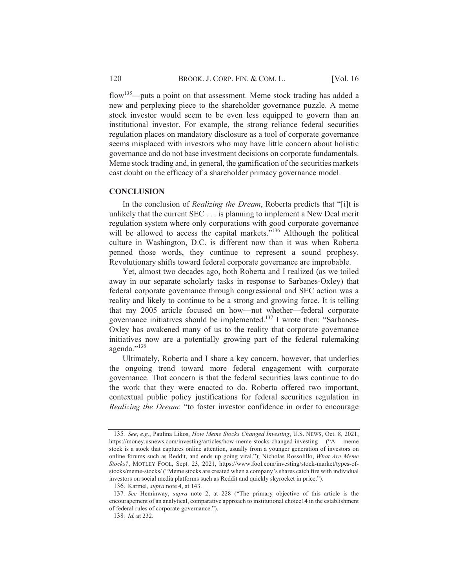flow<sup>135</sup>—puts a point on that assessment. Meme stock trading has added a new and perplexing piece to the shareholder governance puzzle. A meme stock investor would seem to be even less equipped to govern than an institutional investor. For example, the strong reliance federal securities regulation places on mandatory disclosure as a tool of corporate governance seems misplaced with investors who may have little concern about holistic governance and do not base investment decisions on corporate fundamentals. Meme stock trading and, in general, the gamification of the securities markets cast doubt on the efficacy of a shareholder primacy governance model.

## **CONCLUSION**

In the conclusion of *Realizing the Dream*, Roberta predicts that "[i]t is unlikely that the current  $SEC \dots$  is planning to implement a New Deal merit regulation system where only corporations with good corporate governance will be allowed to access the capital markets."<sup>136</sup> Although the political culture in Washington, D.C. is different now than it was when Roberta penned those words, they continue to represent a sound prophesy. Revolutionary shifts toward federal corporate governance are improbable.

Yet, almost two decades ago, both Roberta and I realized (as we toiled away in our separate scholarly tasks in response to Sarbanes-Oxley) that federal corporate governance through congressional and SEC action was a reality and likely to continue to be a strong and growing force. It is telling that my 2005 article focused on how-not whether-federal corporate governance initiatives should be implemented.<sup>137</sup> I wrote then: "Sarbanes- $\overline{O}$ xlev has awakened many of us to the reality that corporate governance initiatives now are a potentially growing part of the federal rulemaking agenda."<sup>138</sup>

Ultimately, Roberta and I share a key concern, however, that underlies the ongoing trend toward more federal engagement with corporate governance. That concern is that the federal securities laws continue to do the work that they were enacted to do. Roberta offered two important, contextual public policy justifications for federal securities regulation in *Realizing the Dream:* "to foster investor confidence in order to encourage

<sup>135.</sup> See, e.g., Paulina Likos, *How Meme Stocks Changed Investing*, U.S. NEWS, Oct. 8, 2021. https://money.usnews.com/investing/articles/how-meme-stocks-changed-investing ("A meme stock is a stock that captures online attention, usually from a vounger generation of investors on online forums such as Reddit, and ends up going viral."): Nicholas Rossolillo, *What Are Meme Stocks*?, MOTLEY FOOL, Sept. 23, 2021, https://www.fool.com/investing/stock-market/types-ofstocks/meme-stocks/ ("Meme stocks are created when a company's shares catch fire with individual investors on social media platforms such as Reddit and quickly skyrocket in price.").

<sup>136.</sup> Karmel, *supra* note 4, at 143.

<sup>137.</sup> See Heminway, *supra* note 2, at 228 ("The primary objective of this article is the encouragement of an analytical, comparative approach to institutional choice  $14$  in the establishment of federal rules of corporate governance.").

<sup>138.</sup> *Id.* at 232.